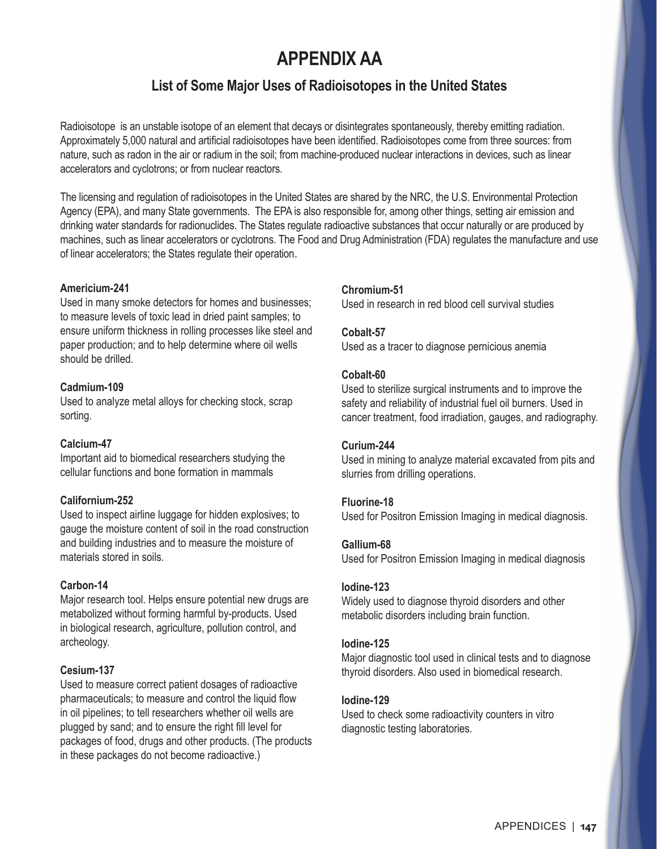# **APPENDIX AA**

# **List of Some Major Uses of Radioisotopes in the United States**

Radioisotope is an unstable isotope of an element that decays or disintegrates spontaneously, thereby emitting radiation. Approximately 5,000 natural and artificial radioisotopes have been identified. Radioisotopes come from three sources: from nature, such as radon in the air or radium in the soil; from machine-produced nuclear interactions in devices, such as linear accelerators and cyclotrons; or from nuclear reactors.

The licensing and regulation of radioisotopes in the United States are shared by the NRC, the U.S. Environmental Protection Agency (EPA), and many State governments. The EPA is also responsible for, among other things, setting air emission and drinking water standards for radionuclides. The States regulate radioactive substances that occur naturally or are produced by machines, such as linear accelerators or cyclotrons. The Food and Drug Administration (FDA) regulates the manufacture and use of linear accelerators; the States regulate their operation.

# **Americium-241**

Used in many smoke detectors for homes and businesses; to measure levels of toxic lead in dried paint samples; to ensure uniform thickness in rolling processes like steel and paper production; and to help determine where oil wells should be drilled.

# **Cadmium-109**

Used to analyze metal alloys for checking stock, scrap sorting.

#### **Calcium-47**

Important aid to biomedical researchers studying the cellular functions and bone formation in mammals

#### **Californium-252**

Used to inspect airline luggage for hidden explosives; to gauge the moisture content of soil in the road construction and building industries and to measure the moisture of materials stored in soils.

#### **Carbon-14**

Major research tool. Helps ensure potential new drugs are metabolized without forming harmful by-products. Used in biological research, agriculture, pollution control, and archeology.

# **Cesium-137**

Used to measure correct patient dosages of radioactive pharmaceuticals; to measure and control the liquid flow in oil pipelines; to tell researchers whether oil wells are plugged by sand; and to ensure the right fill level for packages of food, drugs and other products. (The products in these packages do not become radioactive.)

# **Chromium-51**

Used in research in red blood cell survival studies

#### **Cobalt-57**

Used as a tracer to diagnose pernicious anemia

#### **Cobalt-60**

Used to sterilize surgical instruments and to improve the safety and reliability of industrial fuel oil burners. Used in cancer treatment, food irradiation, gauges, and radiography.

#### **Curium-244**

Used in mining to analyze material excavated from pits and slurries from drilling operations.

#### **Fluorine-18**

Used for Positron Emission Imaging in medical diagnosis.

#### **Gallium-68**

Used for Positron Emission Imaging in medical diagnosis

#### **Iodine-123**

Widely used to diagnose thyroid disorders and other metabolic disorders including brain function.

#### **Iodine-125**

Major diagnostic tool used in clinical tests and to diagnose thyroid disorders. Also used in biomedical research.

#### **Iodine-129**

Used to check some radioactivity counters in vitro diagnostic testing laboratories.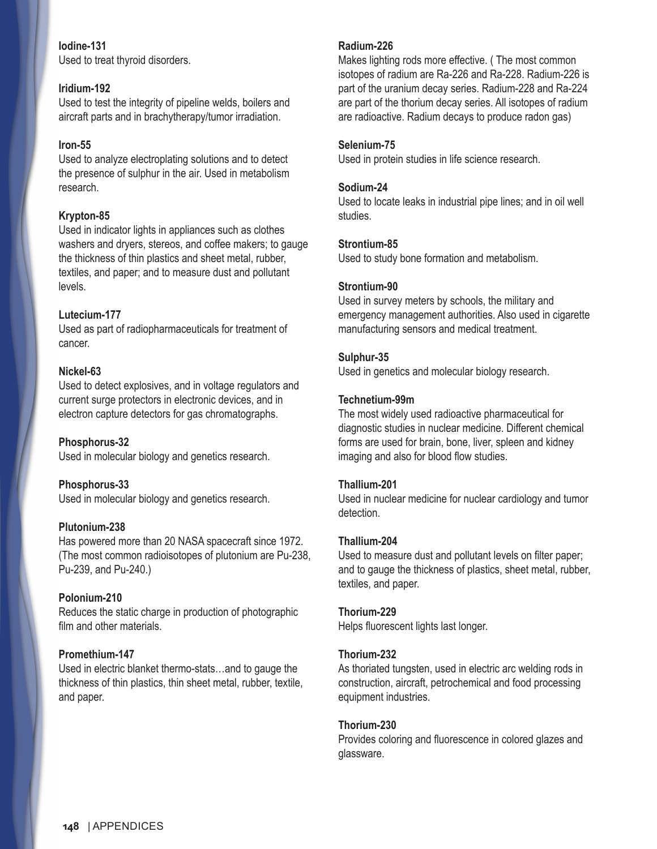# **Iodine-131**

Used to treat thyroid disorders.

# **Iridium-192**

Used to test the integrity of pipeline welds, boilers and aircraft parts and in brachytherapy/tumor irradiation.

# **Iron-55**

Used to analyze electroplating solutions and to detect the presence of sulphur in the air. Used in metabolism research.

# **Krypton-85**

Used in indicator lights in appliances such as clothes washers and dryers, stereos, and coffee makers; to gauge the thickness of thin plastics and sheet metal, rubber, textiles, and paper; and to measure dust and pollutant levels.

# **Lutecium-177**

Used as part of radiopharmaceuticals for treatment of cancer.

# **Nickel-63**

Used to detect explosives, and in voltage regulators and current surge protectors in electronic devices, and in electron capture detectors for gas chromatographs.

# **Phosphorus-32**

Used in molecular biology and genetics research.

#### **Phosphorus-33**

Used in molecular biology and genetics research.

#### **Plutonium-238**

Has powered more than 20 NASA spacecraft since 1972. (The most common radioisotopes of plutonium are Pu-238, Pu-239, and Pu-240.)

#### **Polonium-210**

Reduces the static charge in production of photographic film and other materials.

#### **Promethium-147**

Used in electric blanket thermo-stats…and to gauge the thickness of thin plastics, thin sheet metal, rubber, textile, and paper.

### **Radium-226**

Makes lighting rods more effective. ( The most common isotopes of radium are Ra-226 and Ra-228. Radium-226 is part of the uranium decay series. Radium-228 and Ra-224 are part of the thorium decay series. All isotopes of radium are radioactive. Radium decays to produce radon gas)

#### **Selenium-75**

Used in protein studies in life science research.

#### **Sodium-24**

Used to locate leaks in industrial pipe lines; and in oil well studies.

#### **Strontium-85**

Used to study bone formation and metabolism.

#### **Strontium-90**

Used in survey meters by schools, the military and emergency management authorities. Also used in cigarette manufacturing sensors and medical treatment.

#### **Sulphur-35**

Used in genetics and molecular biology research.

#### **Technetium-99m**

The most widely used radioactive pharmaceutical for diagnostic studies in nuclear medicine. Different chemical forms are used for brain, bone, liver, spleen and kidney imaging and also for blood flow studies.

#### **Thallium-201**

Used in nuclear medicine for nuclear cardiology and tumor detection.

#### **Thallium-204**

Used to measure dust and pollutant levels on filter paper; and to gauge the thickness of plastics, sheet metal, rubber, textiles, and paper.

#### **Thorium-229**

Helps fluorescent lights last longer.

#### **Thorium-232**

As thoriated tungsten, used in electric arc welding rods in construction, aircraft, petrochemical and food processing equipment industries.

#### **Thorium-230**

Provides coloring and fluorescence in colored glazes and glassware.